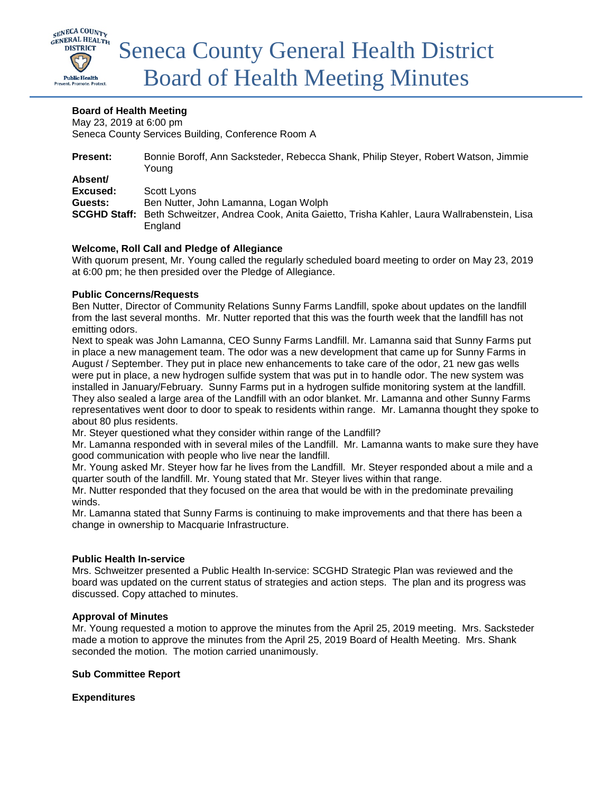

# **Board of Health Meeting**

May 23, 2019 at 6:00 pm Seneca County Services Building, Conference Room A

| <b>Present:</b> | Bonnie Boroff, Ann Sacksteder, Rebecca Shank, Philip Steyer, Robert Watson, Jimmie<br>Youna         |
|-----------------|-----------------------------------------------------------------------------------------------------|
| Absent/         |                                                                                                     |
| Excused:        | Scott Lyons                                                                                         |
| Guests:         | Ben Nutter, John Lamanna, Logan Wolph                                                               |
|                 | SCGHD Staff: Beth Schweitzer, Andrea Cook, Anita Gaietto, Trisha Kahler, Laura Wallrabenstein, Lisa |
|                 | England                                                                                             |

# **Welcome, Roll Call and Pledge of Allegiance**

With quorum present, Mr. Young called the regularly scheduled board meeting to order on May 23, 2019 at 6:00 pm; he then presided over the Pledge of Allegiance.

## **Public Concerns/Requests**

Ben Nutter, Director of Community Relations Sunny Farms Landfill, spoke about updates on the landfill from the last several months. Mr. Nutter reported that this was the fourth week that the landfill has not emitting odors.

Next to speak was John Lamanna, CEO Sunny Farms Landfill. Mr. Lamanna said that Sunny Farms put in place a new management team. The odor was a new development that came up for Sunny Farms in August / September. They put in place new enhancements to take care of the odor, 21 new gas wells were put in place, a new hydrogen sulfide system that was put in to handle odor. The new system was installed in January/February. Sunny Farms put in a hydrogen sulfide monitoring system at the landfill. They also sealed a large area of the Landfill with an odor blanket. Mr. Lamanna and other Sunny Farms representatives went door to door to speak to residents within range. Mr. Lamanna thought they spoke to about 80 plus residents.

Mr. Steyer questioned what they consider within range of the Landfill?

Mr. Lamanna responded with in several miles of the Landfill. Mr. Lamanna wants to make sure they have good communication with people who live near the landfill.

Mr. Young asked Mr. Steyer how far he lives from the Landfill. Mr. Steyer responded about a mile and a quarter south of the landfill. Mr. Young stated that Mr. Steyer lives within that range.

Mr. Nutter responded that they focused on the area that would be with in the predominate prevailing winds.

Mr. Lamanna stated that Sunny Farms is continuing to make improvements and that there has been a change in ownership to Macquarie Infrastructure.

#### **Public Health In-service**

Mrs. Schweitzer presented a Public Health In-service: SCGHD Strategic Plan was reviewed and the board was updated on the current status of strategies and action steps. The plan and its progress was discussed. Copy attached to minutes.

# **Approval of Minutes**

Mr. Young requested a motion to approve the minutes from the April 25, 2019 meeting. Mrs. Sacksteder made a motion to approve the minutes from the April 25, 2019 Board of Health Meeting. Mrs. Shank seconded the motion. The motion carried unanimously.

# **Sub Committee Report**

**Expenditures**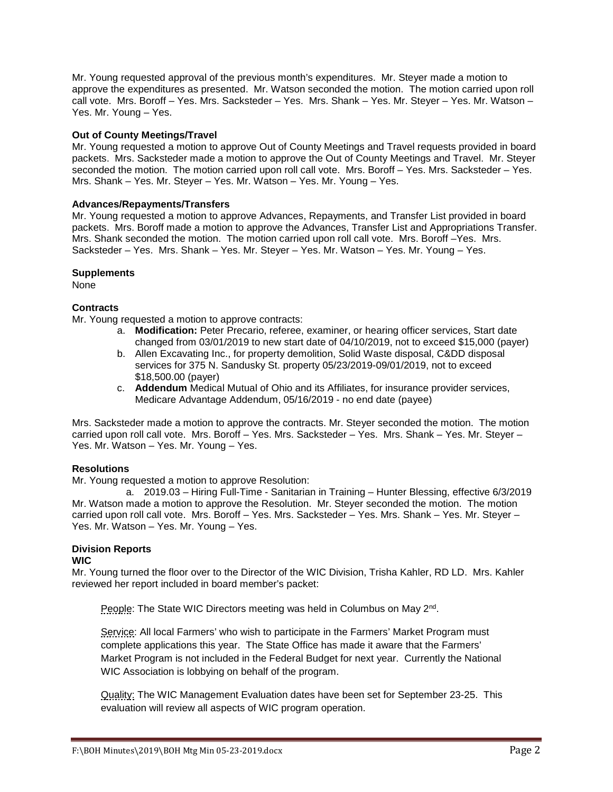Mr. Young requested approval of the previous month's expenditures. Mr. Steyer made a motion to approve the expenditures as presented. Mr. Watson seconded the motion. The motion carried upon roll call vote. Mrs. Boroff – Yes. Mrs. Sacksteder – Yes. Mrs. Shank – Yes. Mr. Steyer – Yes. Mr. Watson – Yes. Mr. Young – Yes.

## **Out of County Meetings/Travel**

Mr. Young requested a motion to approve Out of County Meetings and Travel requests provided in board packets. Mrs. Sacksteder made a motion to approve the Out of County Meetings and Travel. Mr. Steyer seconded the motion. The motion carried upon roll call vote. Mrs. Boroff – Yes. Mrs. Sacksteder – Yes. Mrs. Shank – Yes. Mr. Steyer – Yes. Mr. Watson – Yes. Mr. Young – Yes.

#### **Advances/Repayments/Transfers**

Mr. Young requested a motion to approve Advances, Repayments, and Transfer List provided in board packets. Mrs. Boroff made a motion to approve the Advances, Transfer List and Appropriations Transfer. Mrs. Shank seconded the motion. The motion carried upon roll call vote. Mrs. Boroff –Yes. Mrs. Sacksteder – Yes. Mrs. Shank – Yes. Mr. Steyer – Yes. Mr. Watson – Yes. Mr. Young – Yes.

#### **Supplements**

None

# **Contracts**

Mr. Young requested a motion to approve contracts:

- a. **Modification:** Peter Precario, referee, examiner, or hearing officer services, Start date changed from 03/01/2019 to new start date of 04/10/2019, not to exceed \$15,000 (payer)
- b. Allen Excavating Inc., for property demolition, Solid Waste disposal, C&DD disposal services for 375 N. Sandusky St. property 05/23/2019-09/01/2019, not to exceed \$18,500.00 (payer)
- c. **Addendum** Medical Mutual of Ohio and its Affiliates, for insurance provider services, Medicare Advantage Addendum, 05/16/2019 - no end date (payee)

Mrs. Sacksteder made a motion to approve the contracts. Mr. Steyer seconded the motion. The motion carried upon roll call vote. Mrs. Boroff – Yes. Mrs. Sacksteder – Yes. Mrs. Shank – Yes. Mr. Steyer – Yes. Mr. Watson – Yes. Mr. Young – Yes.

#### **Resolutions**

Mr. Young requested a motion to approve Resolution:

a. 2019.03 – Hiring Full-Time - Sanitarian in Training – Hunter Blessing, effective 6/3/2019 Mr. Watson made a motion to approve the Resolution. Mr. Steyer seconded the motion. The motion carried upon roll call vote. Mrs. Boroff – Yes. Mrs. Sacksteder – Yes. Mrs. Shank – Yes. Mr. Steyer – Yes. Mr. Watson – Yes. Mr. Young – Yes.

# **Division Reports**

#### **WIC**

Mr. Young turned the floor over to the Director of the WIC Division, Trisha Kahler, RD LD. Mrs. Kahler reviewed her report included in board member's packet:

People: The State WIC Directors meeting was held in Columbus on May 2nd.

Service: All local Farmers' who wish to participate in the Farmers' Market Program must complete applications this year. The State Office has made it aware that the Farmers' Market Program is not included in the Federal Budget for next year. Currently the National WIC Association is lobbying on behalf of the program.

Quality: The WIC Management Evaluation dates have been set for September 23-25. This evaluation will review all aspects of WIC program operation.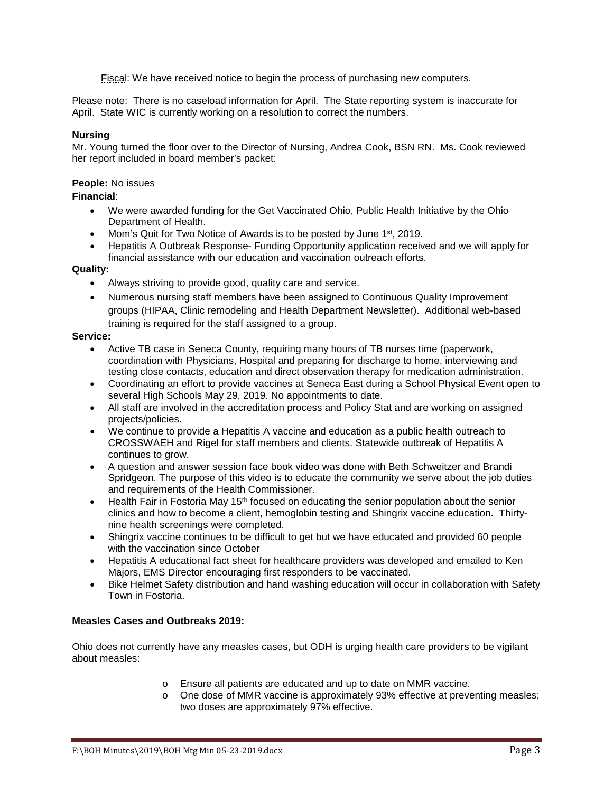Fiscal: We have received notice to begin the process of purchasing new computers.

Please note: There is no caseload information for April. The State reporting system is inaccurate for April. State WIC is currently working on a resolution to correct the numbers.

### **Nursing**

Mr. Young turned the floor over to the Director of Nursing, Andrea Cook, BSN RN. Ms. Cook reviewed her report included in board member's packet:

#### **People:** No issues

## **Financial**:

- We were awarded funding for the Get Vaccinated Ohio, Public Health Initiative by the Ohio Department of Health.
- Mom's Quit for Two Notice of Awards is to be posted by June 1<sup>st</sup>, 2019.
- Hepatitis A Outbreak Response- Funding Opportunity application received and we will apply for financial assistance with our education and vaccination outreach efforts.

## **Quality:**

- Always striving to provide good, quality care and service.
- Numerous nursing staff members have been assigned to Continuous Quality Improvement groups (HIPAA, Clinic remodeling and Health Department Newsletter). Additional web-based training is required for the staff assigned to a group.

#### **Service:**

- Active TB case in Seneca County, requiring many hours of TB nurses time (paperwork, coordination with Physicians, Hospital and preparing for discharge to home, interviewing and testing close contacts, education and direct observation therapy for medication administration.
- Coordinating an effort to provide vaccines at Seneca East during a School Physical Event open to several High Schools May 29, 2019. No appointments to date.
- All staff are involved in the accreditation process and Policy Stat and are working on assigned projects/policies.
- We continue to provide a Hepatitis A vaccine and education as a public health outreach to CROSSWAEH and Rigel for staff members and clients. Statewide outbreak of Hepatitis A continues to grow.
- A question and answer session face book video was done with Beth Schweitzer and Brandi Spridgeon. The purpose of this video is to educate the community we serve about the job duties and requirements of the Health Commissioner.
- Health Fair in Fostoria May  $15<sup>th</sup>$  focused on educating the senior population about the senior clinics and how to become a client, hemoglobin testing and Shingrix vaccine education. Thirtynine health screenings were completed.
- Shingrix vaccine continues to be difficult to get but we have educated and provided 60 people with the vaccination since October
- Hepatitis A educational fact sheet for healthcare providers was developed and emailed to Ken Majors, EMS Director encouraging first responders to be vaccinated.
- Bike Helmet Safety distribution and hand washing education will occur in collaboration with Safety Town in Fostoria.

# **Measles Cases and Outbreaks 2019:**

Ohio does not currently have any measles cases, but ODH is urging health care providers to be vigilant about measles:

- o Ensure all patients are educated and up to date on MMR vaccine.
- o One dose of MMR vaccine is approximately 93% effective at preventing measles; two doses are approximately 97% effective.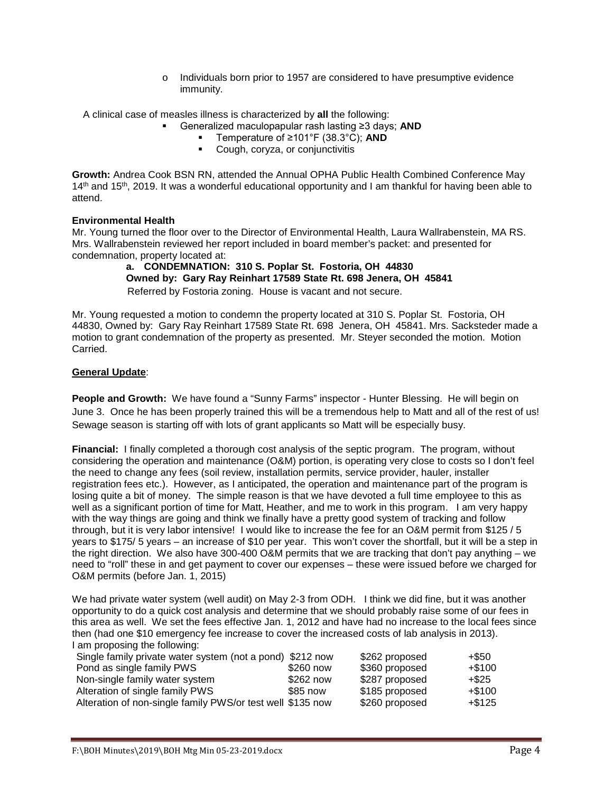o Individuals born prior to 1957 are considered to have presumptive evidence immunity.

A clinical case of measles illness is characterized by **all** the following:

- Generalized maculopapular rash lasting ≥3 days; **AND**
	- Temperature of ≥101°F (38.3°C); **AND**
	- **Cough, coryza, or conjunctivitis**

**Growth:** Andrea Cook BSN RN, attended the Annual OPHA Public Health Combined Conference May 14<sup>th</sup> and 15<sup>th</sup>, 2019. It was a wonderful educational opportunity and I am thankful for having been able to attend.

## **Environmental Health**

Mr. Young turned the floor over to the Director of Environmental Health, Laura Wallrabenstein, MA RS. Mrs. Wallrabenstein reviewed her report included in board member's packet: and presented for condemnation, property located at:

**a. CONDEMNATION: 310 S. Poplar St. Fostoria, OH 44830 Owned by: Gary Ray Reinhart 17589 State Rt. 698 Jenera, OH 45841** Referred by Fostoria zoning. House is vacant and not secure.

Mr. Young requested a motion to condemn the property located at 310 S. Poplar St. Fostoria, OH 44830, Owned by: Gary Ray Reinhart 17589 State Rt. 698 Jenera, OH 45841. Mrs. Sacksteder made a motion to grant condemnation of the property as presented. Mr. Steyer seconded the motion. Motion Carried.

## **General Update**:

**People and Growth:** We have found a "Sunny Farms" inspector - Hunter Blessing. He will begin on June 3. Once he has been properly trained this will be a tremendous help to Matt and all of the rest of us! Sewage season is starting off with lots of grant applicants so Matt will be especially busy.

**Financial:** I finally completed a thorough cost analysis of the septic program. The program, without considering the operation and maintenance (O&M) portion, is operating very close to costs so I don't feel the need to change any fees (soil review, installation permits, service provider, hauler, installer registration fees etc.). However, as I anticipated, the operation and maintenance part of the program is losing quite a bit of money. The simple reason is that we have devoted a full time employee to this as well as a significant portion of time for Matt, Heather, and me to work in this program. I am very happy with the way things are going and think we finally have a pretty good system of tracking and follow through, but it is very labor intensive! I would like to increase the fee for an O&M permit from \$125 / 5 years to \$175/ 5 years – an increase of \$10 per year. This won't cover the shortfall, but it will be a step in the right direction. We also have 300-400 O&M permits that we are tracking that don't pay anything – we need to "roll" these in and get payment to cover our expenses – these were issued before we charged for O&M permits (before Jan. 1, 2015)

We had private water system (well audit) on May 2-3 from ODH. I think we did fine, but it was another opportunity to do a quick cost analysis and determine that we should probably raise some of our fees in this area as well. We set the fees effective Jan. 1, 2012 and have had no increase to the local fees since then (had one \$10 emergency fee increase to cover the increased costs of lab analysis in 2013). I am proposing the following:

| Single family private water system (not a pond) \$212 now  |           | \$262 proposed | +\$50     |
|------------------------------------------------------------|-----------|----------------|-----------|
| Pond as single family PWS                                  | \$260 now | \$360 proposed | $+\$100$  |
| Non-single family water system                             | \$262 now | \$287 proposed | +\$25     |
| Alteration of single family PWS                            | \$85 now  | \$185 proposed | $+\$100$  |
| Alteration of non-single family PWS/or test well \$135 now |           | \$260 proposed | $+$ \$125 |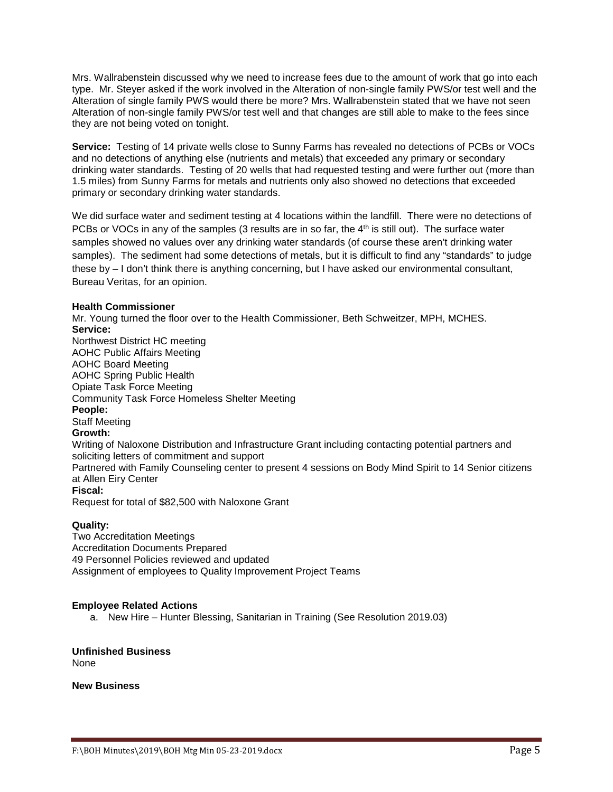Mrs. Wallrabenstein discussed why we need to increase fees due to the amount of work that go into each type. Mr. Steyer asked if the work involved in the Alteration of non-single family PWS/or test well and the Alteration of single family PWS would there be more? Mrs. Wallrabenstein stated that we have not seen Alteration of non-single family PWS/or test well and that changes are still able to make to the fees since they are not being voted on tonight.

**Service:** Testing of 14 private wells close to Sunny Farms has revealed no detections of PCBs or VOCs and no detections of anything else (nutrients and metals) that exceeded any primary or secondary drinking water standards. Testing of 20 wells that had requested testing and were further out (more than 1.5 miles) from Sunny Farms for metals and nutrients only also showed no detections that exceeded primary or secondary drinking water standards.

We did surface water and sediment testing at 4 locations within the landfill. There were no detections of PCBs or VOCs in any of the samples (3 results are in so far, the  $4<sup>th</sup>$  is still out). The surface water samples showed no values over any drinking water standards (of course these aren't drinking water samples). The sediment had some detections of metals, but it is difficult to find any "standards" to judge these by – I don't think there is anything concerning, but I have asked our environmental consultant, Bureau Veritas, for an opinion.

## **Health Commissioner**

Mr. Young turned the floor over to the Health Commissioner, Beth Schweitzer, MPH, MCHES. **Service:** Northwest District HC meeting AOHC Public Affairs Meeting AOHC Board Meeting AOHC Spring Public Health Opiate Task Force Meeting Community Task Force Homeless Shelter Meeting **People:** Staff Meeting **Growth:** Writing of Naloxone Distribution and Infrastructure Grant including contacting potential partners and soliciting letters of commitment and support Partnered with Family Counseling center to present 4 sessions on Body Mind Spirit to 14 Senior citizens at Allen Eiry Center **Fiscal:** Request for total of \$82,500 with Naloxone Grant

# **Quality:**

Two Accreditation Meetings Accreditation Documents Prepared 49 Personnel Policies reviewed and updated Assignment of employees to Quality Improvement Project Teams

# **Employee Related Actions**

a. New Hire – Hunter Blessing, Sanitarian in Training (See Resolution 2019.03)

**Unfinished Business** None

**New Business**